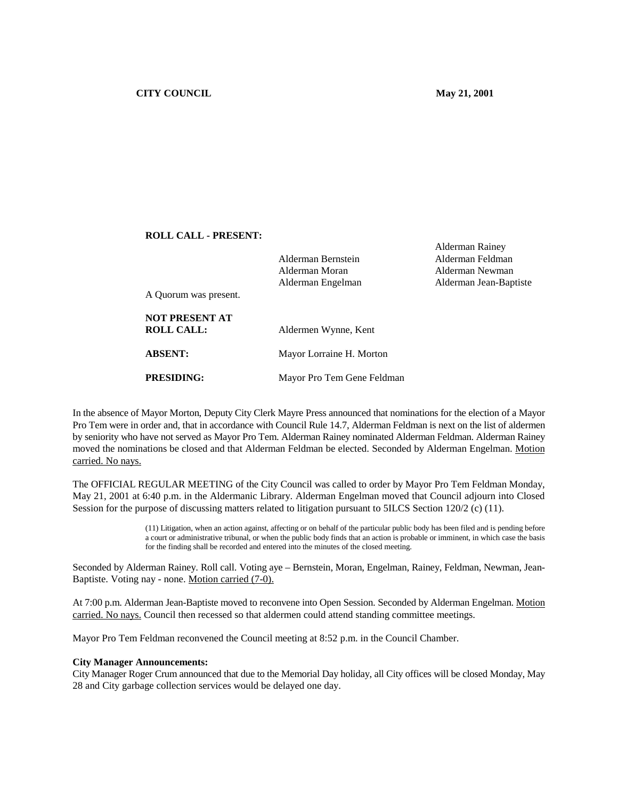Alderman Rainey

# **ROLL CALL - PRESENT:**

|                       | Alderman Bernstein         | Alderman Feldman       |
|-----------------------|----------------------------|------------------------|
|                       | Alderman Moran             | Alderman Newman        |
|                       | Alderman Engelman          | Alderman Jean-Baptiste |
| A Quorum was present. |                            |                        |
| <b>NOT PRESENT AT</b> |                            |                        |
| <b>ROLL CALL:</b>     | Aldermen Wynne, Kent       |                        |
| <b>ABSENT:</b>        | Mayor Lorraine H. Morton   |                        |
|                       |                            |                        |
| <b>PRESIDING:</b>     | Mayor Pro Tem Gene Feldman |                        |

In the absence of Mayor Morton, Deputy City Clerk Mayre Press announced that nominations for the election of a Mayor Pro Tem were in order and, that in accordance with Council Rule 14.7, Alderman Feldman is next on the list of aldermen by seniority who have not served as Mayor Pro Tem. Alderman Rainey nominated Alderman Feldman. Alderman Rainey moved the nominations be closed and that Alderman Feldman be elected. Seconded by Alderman Engelman. Motion carried. No nays.

The OFFICIAL REGULAR MEETING of the City Council was called to order by Mayor Pro Tem Feldman Monday, May 21, 2001 at 6:40 p.m. in the Aldermanic Library. Alderman Engelman moved that Council adjourn into Closed Session for the purpose of discussing matters related to litigation pursuant to 5ILCS Section 120/2 (c) (11).

> (11) Litigation, when an action against, affecting or on behalf of the particular public body has been filed and is pending before a court or administrative tribunal, or when the public body finds that an action is probable or imminent, in which case the basis for the finding shall be recorded and entered into the minutes of the closed meeting.

Seconded by Alderman Rainey. Roll call. Voting aye – Bernstein, Moran, Engelman, Rainey, Feldman, Newman, Jean-Baptiste. Voting nay - none. Motion carried (7-0).

At 7:00 p.m. Alderman Jean-Baptiste moved to reconvene into Open Session. Seconded by Alderman Engelman. Motion carried. No nays. Council then recessed so that aldermen could attend standing committee meetings.

Mayor Pro Tem Feldman reconvened the Council meeting at 8:52 p.m. in the Council Chamber.

#### **City Manager Announcements:**

City Manager Roger Crum announced that due to the Memorial Day holiday, all City offices will be closed Monday, May 28 and City garbage collection services would be delayed one day.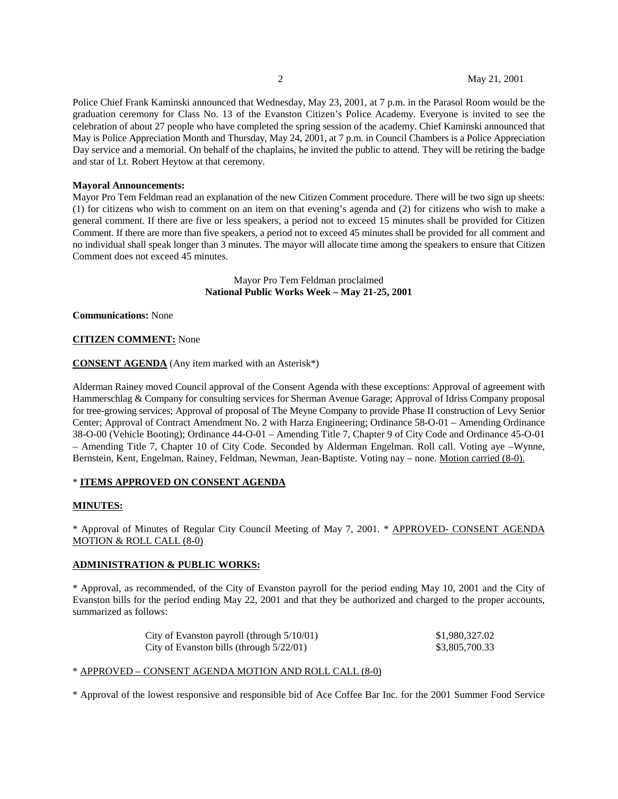Police Chief Frank Kaminski announced that Wednesday, May 23, 2001, at 7 p.m. in the Parasol Room would be the graduation ceremony for Class No. 13 of the Evanston Citizen's Police Academy. Everyone is invited to see the celebration of about 27 people who have completed the spring session of the academy. Chief Kaminski announced that May is Police Appreciation Month and Thursday, May 24, 2001, at 7 p.m. in Council Chambers is a Police Appreciation Day service and a memorial. On behalf of the chaplains, he invited the public to attend. They will be retiring the badge and star of Lt. Robert Heytow at that ceremony.

### **Mayoral Announcements:**

Mayor Pro Tem Feldman read an explanation of the new Citizen Comment procedure. There will be two sign up sheets: (1) for citizens who wish to comment on an item on that evening's agenda and (2) for citizens who wish to make a general comment. If there are five or less speakers, a period not to exceed 15 minutes shall be provided for Citizen Comment. If there are more than five speakers, a period not to exceed 45 minutes shall be provided for all comment and no individual shall speak longer than 3 minutes. The mayor will allocate time among the speakers to ensure that Citizen Comment does not exceed 45 minutes.

> Mayor Pro Tem Feldman proclaimed **National Public Works Week – May 21-25, 2001**

**Communications:** None

#### **CITIZEN COMMENT:** None

#### **CONSENT AGENDA** (Any item marked with an Asterisk\*)

Alderman Rainey moved Council approval of the Consent Agenda with these exceptions: Approval of agreement with Hammerschlag & Company for consulting services for Sherman Avenue Garage; Approval of Idriss Company proposal for tree-growing services; Approval of proposal of The Meyne Company to provide Phase II construction of Levy Senior Center; Approval of Contract Amendment No. 2 with Harza Engineering; Ordinance 58-O-01 – Amending Ordinance 38-O-00 (Vehicle Booting); Ordinance 44-O-01 – Amending Title 7, Chapter 9 of City Code and Ordinance 45-O-01 – Amending Title 7, Chapter 10 of City Code. Seconded by Alderman Engelman. Roll call. Voting aye –Wynne, Bernstein, Kent, Engelman, Rainey, Feldman, Newman, Jean-Baptiste. Voting nay – none. Motion carried (8-0).

# \* **ITEMS APPROVED ON CONSENT AGENDA**

#### **MINUTES:**

\* Approval of Minutes of Regular City Council Meeting of May 7, 2001. \* APPROVED- CONSENT AGENDA MOTION & ROLL CALL (8-0)

# **ADMINISTRATION & PUBLIC WORKS:**

\* Approval, as recommended, of the City of Evanston payroll for the period ending May 10, 2001 and the City of Evanston bills for the period ending May 22, 2001 and that they be authorized and charged to the proper accounts, summarized as follows:

| City of Evanston payroll (through $5/10/01$ ) | \$1,980,327.02 |
|-----------------------------------------------|----------------|
| City of Evanston bills (through $5/22/01$ )   | \$3,805,700.33 |

### \* APPROVED – CONSENT AGENDA MOTION AND ROLL CALL (8-0)

\* Approval of the lowest responsive and responsible bid of Ace Coffee Bar Inc. for the 2001 Summer Food Service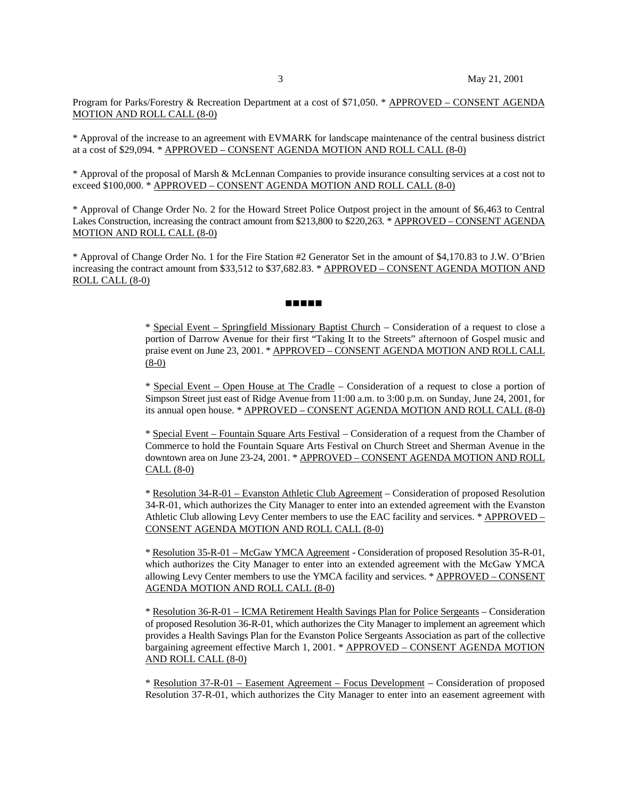Program for Parks/Forestry & Recreation Department at a cost of \$71,050. \* APPROVED – CONSENT AGENDA MOTION AND ROLL CALL (8-0)

\* Approval of the increase to an agreement with EVMARK for landscape maintenance of the central business district at a cost of \$29,094. \* APPROVED – CONSENT AGENDA MOTION AND ROLL CALL (8-0)

\* Approval of the proposal of Marsh & McLennan Companies to provide insurance consulting services at a cost not to exceed \$100,000. \* APPROVED – CONSENT AGENDA MOTION AND ROLL CALL (8-0)

\* Approval of Change Order No. 2 for the Howard Street Police Outpost project in the amount of \$6,463 to Central Lakes Construction, increasing the contract amount from \$213,800 to \$220,263. \* APPROVED – CONSENT AGENDA MOTION AND ROLL CALL (8-0)

\* Approval of Change Order No. 1 for the Fire Station #2 Generator Set in the amount of \$4,170.83 to J.W. O'Brien increasing the contract amount from \$33,512 to \$37,682.83. \* APPROVED – CONSENT AGENDA MOTION AND ROLL CALL (8-0)

#### **. . . . .**

\* Special Event – Springfield Missionary Baptist Church – Consideration of a request to close a portion of Darrow Avenue for their first "Taking It to the Streets" afternoon of Gospel music and praise event on June 23, 2001. \* APPROVED – CONSENT AGENDA MOTION AND ROLL CALL (8-0)

\* Special Event – Open House at The Cradle – Consideration of a request to close a portion of Simpson Street just east of Ridge Avenue from 11:00 a.m. to 3:00 p.m. on Sunday, June 24, 2001, for its annual open house. \* APPROVED – CONSENT AGENDA MOTION AND ROLL CALL (8-0)

\* Special Event – Fountain Square Arts Festival – Consideration of a request from the Chamber of Commerce to hold the Fountain Square Arts Festival on Church Street and Sherman Avenue in the downtown area on June 23-24, 2001. \* APPROVED – CONSENT AGENDA MOTION AND ROLL CALL (8-0)

\* Resolution 34-R-01 – Evanston Athletic Club Agreement – Consideration of proposed Resolution 34-R-01, which authorizes the City Manager to enter into an extended agreement with the Evanston Athletic Club allowing Levy Center members to use the EAC facility and services. \* APPROVED – CONSENT AGENDA MOTION AND ROLL CALL (8-0)

\* Resolution 35-R-01 – McGaw YMCA Agreement - Consideration of proposed Resolution 35-R-01, which authorizes the City Manager to enter into an extended agreement with the McGaw YMCA allowing Levy Center members to use the YMCA facility and services. \* APPROVED – CONSENT AGENDA MOTION AND ROLL CALL (8-0)

\* Resolution 36-R-01 – ICMA Retirement Health Savings Plan for Police Sergeants – Consideration of proposed Resolution 36-R-01, which authorizes the City Manager to implement an agreement which provides a Health Savings Plan for the Evanston Police Sergeants Association as part of the collective bargaining agreement effective March 1, 2001. \* APPROVED – CONSENT AGENDA MOTION AND ROLL CALL (8-0)

\* Resolution 37-R-01 – Easement Agreement – Focus Development – Consideration of proposed Resolution 37-R-01, which authorizes the City Manager to enter into an easement agreement with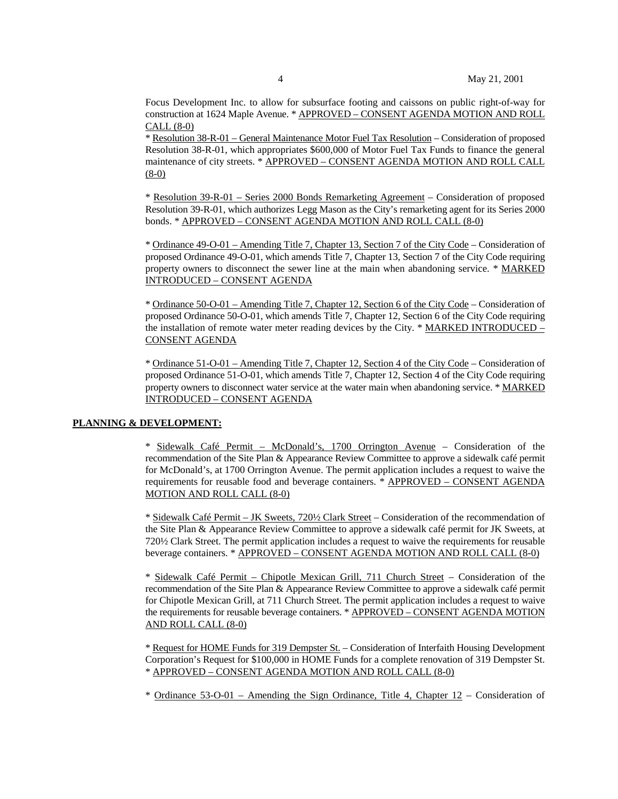Focus Development Inc. to allow for subsurface footing and caissons on public right-of-way for construction at 1624 Maple Avenue. \* APPROVED – CONSENT AGENDA MOTION AND ROLL CALL (8-0)

\* Resolution 38-R-01 – General Maintenance Motor Fuel Tax Resolution – Consideration of proposed Resolution 38-R-01, which appropriates \$600,000 of Motor Fuel Tax Funds to finance the general maintenance of city streets. \* APPROVED – CONSENT AGENDA MOTION AND ROLL CALL (8-0)

\* Resolution 39-R-01 – Series 2000 Bonds Remarketing Agreement – Consideration of proposed Resolution 39-R-01, which authorizes Legg Mason as the City's remarketing agent for its Series 2000 bonds. \* APPROVED – CONSENT AGENDA MOTION AND ROLL CALL (8-0)

\* Ordinance 49-O-01 – Amending Title 7, Chapter 13, Section 7 of the City Code – Consideration of proposed Ordinance 49-O-01, which amends Title 7, Chapter 13, Section 7 of the City Code requiring property owners to disconnect the sewer line at the main when abandoning service. \* MARKED INTRODUCED – CONSENT AGENDA

\* Ordinance 50-O-01 – Amending Title 7, Chapter 12, Section 6 of the City Code – Consideration of proposed Ordinance 50-O-01, which amends Title 7, Chapter 12, Section 6 of the City Code requiring the installation of remote water meter reading devices by the City. \* MARKED INTRODUCED – CONSENT AGENDA

\* Ordinance 51-O-01 – Amending Title 7, Chapter 12, Section 4 of the City Code – Consideration of proposed Ordinance 51-O-01, which amends Title 7, Chapter 12, Section 4 of the City Code requiring property owners to disconnect water service at the water main when abandoning service. \* MARKED INTRODUCED – CONSENT AGENDA

# **PLANNING & DEVELOPMENT:**

\* Sidewalk Café Permit – McDonald's, 1700 Orrington Avenue – Consideration of the recommendation of the Site Plan & Appearance Review Committee to approve a sidewalk café permit for McDonald's, at 1700 Orrington Avenue. The permit application includes a request to waive the requirements for reusable food and beverage containers. \* APPROVED – CONSENT AGENDA MOTION AND ROLL CALL (8-0)

\* Sidewalk Café Permit – JK Sweets, 720½ Clark Street – Consideration of the recommendation of the Site Plan & Appearance Review Committee to approve a sidewalk café permit for JK Sweets, at 720½ Clark Street. The permit application includes a request to waive the requirements for reusable beverage containers. \* APPROVED – CONSENT AGENDA MOTION AND ROLL CALL (8-0)

\* Sidewalk Café Permit – Chipotle Mexican Grill, 711 Church Street – Consideration of the recommendation of the Site Plan & Appearance Review Committee to approve a sidewalk café permit for Chipotle Mexican Grill, at 711 Church Street. The permit application includes a request to waive the requirements for reusable beverage containers. \* APPROVED – CONSENT AGENDA MOTION AND ROLL CALL (8-0)

\* Request for HOME Funds for 319 Dempster St. – Consideration of Interfaith Housing Development Corporation's Request for \$100,000 in HOME Funds for a complete renovation of 319 Dempster St. \* APPROVED – CONSENT AGENDA MOTION AND ROLL CALL (8-0)

\* Ordinance 53-O-01 – Amending the Sign Ordinance, Title 4, Chapter 12 – Consideration of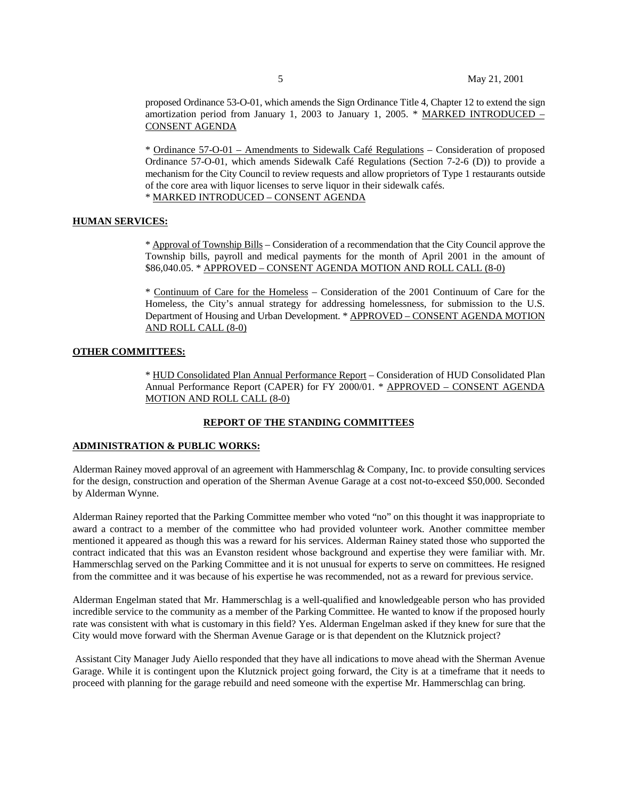proposed Ordinance 53-O-01, which amends the Sign Ordinance Title 4, Chapter 12 to extend the sign amortization period from January 1, 2003 to January 1, 2005. \* MARKED INTRODUCED – CONSENT AGENDA

\* Ordinance 57-O-01 – Amendments to Sidewalk Café Regulations – Consideration of proposed Ordinance 57-O-01, which amends Sidewalk Café Regulations (Section 7-2-6 (D)) to provide a mechanism for the City Council to review requests and allow proprietors of Type 1 restaurants outside of the core area with liquor licenses to serve liquor in their sidewalk cafés. \* MARKED INTRODUCED – CONSENT AGENDA

# **HUMAN SERVICES:**

\* Approval of Township Bills – Consideration of a recommendation that the City Council approve the Township bills, payroll and medical payments for the month of April 2001 in the amount of \$86,040.05. \* APPROVED – CONSENT AGENDA MOTION AND ROLL CALL (8-0)

\* Continuum of Care for the Homeless – Consideration of the 2001 Continuum of Care for the Homeless, the City's annual strategy for addressing homelessness, for submission to the U.S. Department of Housing and Urban Development. \* APPROVED – CONSENT AGENDA MOTION AND ROLL CALL (8-0)

### **OTHER COMMITTEES:**

\* HUD Consolidated Plan Annual Performance Report – Consideration of HUD Consolidated Plan Annual Performance Report (CAPER) for FY 2000/01. \* **APPROVED** - CONSENT AGENDA MOTION AND ROLL CALL (8-0)

# **REPORT OF THE STANDING COMMITTEES**

# **ADMINISTRATION & PUBLIC WORKS:**

Alderman Rainey moved approval of an agreement with Hammerschlag & Company, Inc. to provide consulting services for the design, construction and operation of the Sherman Avenue Garage at a cost not-to-exceed \$50,000. Seconded by Alderman Wynne.

Alderman Rainey reported that the Parking Committee member who voted "no" on this thought it was inappropriate to award a contract to a member of the committee who had provided volunteer work. Another committee member mentioned it appeared as though this was a reward for his services. Alderman Rainey stated those who supported the contract indicated that this was an Evanston resident whose background and expertise they were familiar with. Mr. Hammerschlag served on the Parking Committee and it is not unusual for experts to serve on committees. He resigned from the committee and it was because of his expertise he was recommended, not as a reward for previous service.

Alderman Engelman stated that Mr. Hammerschlag is a well-qualified and knowledgeable person who has provided incredible service to the community as a member of the Parking Committee. He wanted to know if the proposed hourly rate was consistent with what is customary in this field? Yes. Alderman Engelman asked if they knew for sure that the City would move forward with the Sherman Avenue Garage or is that dependent on the Klutznick project?

 Assistant City Manager Judy Aiello responded that they have all indications to move ahead with the Sherman Avenue Garage. While it is contingent upon the Klutznick project going forward, the City is at a timeframe that it needs to proceed with planning for the garage rebuild and need someone with the expertise Mr. Hammerschlag can bring.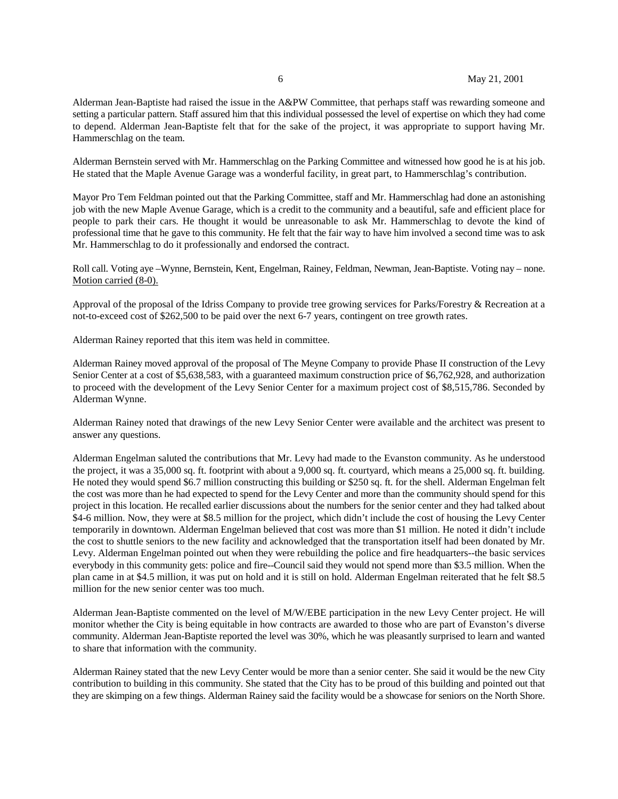Alderman Jean-Baptiste had raised the issue in the A&PW Committee, that perhaps staff was rewarding someone and setting a particular pattern. Staff assured him that this individual possessed the level of expertise on which they had come to depend. Alderman Jean-Baptiste felt that for the sake of the project, it was appropriate to support having Mr. Hammerschlag on the team.

Alderman Bernstein served with Mr. Hammerschlag on the Parking Committee and witnessed how good he is at his job. He stated that the Maple Avenue Garage was a wonderful facility, in great part, to Hammerschlag's contribution.

Mayor Pro Tem Feldman pointed out that the Parking Committee, staff and Mr. Hammerschlag had done an astonishing job with the new Maple Avenue Garage, which is a credit to the community and a beautiful, safe and efficient place for people to park their cars. He thought it would be unreasonable to ask Mr. Hammerschlag to devote the kind of professional time that he gave to this community. He felt that the fair way to have him involved a second time was to ask Mr. Hammerschlag to do it professionally and endorsed the contract.

Roll call. Voting aye –Wynne, Bernstein, Kent, Engelman, Rainey, Feldman, Newman, Jean-Baptiste. Voting nay – none. Motion carried (8-0).

Approval of the proposal of the Idriss Company to provide tree growing services for Parks/Forestry & Recreation at a not-to-exceed cost of \$262,500 to be paid over the next 6-7 years, contingent on tree growth rates.

Alderman Rainey reported that this item was held in committee.

Alderman Rainey moved approval of the proposal of The Meyne Company to provide Phase II construction of the Levy Senior Center at a cost of \$5,638,583, with a guaranteed maximum construction price of \$6,762,928, and authorization to proceed with the development of the Levy Senior Center for a maximum project cost of \$8,515,786. Seconded by Alderman Wynne.

Alderman Rainey noted that drawings of the new Levy Senior Center were available and the architect was present to answer any questions.

Alderman Engelman saluted the contributions that Mr. Levy had made to the Evanston community. As he understood the project, it was a 35,000 sq. ft. footprint with about a 9,000 sq. ft. courtyard, which means a 25,000 sq. ft. building. He noted they would spend \$6.7 million constructing this building or \$250 sq. ft. for the shell. Alderman Engelman felt the cost was more than he had expected to spend for the Levy Center and more than the community should spend for this project in this location. He recalled earlier discussions about the numbers for the senior center and they had talked about \$4-6 million. Now, they were at \$8.5 million for the project, which didn't include the cost of housing the Levy Center temporarily in downtown. Alderman Engelman believed that cost was more than \$1 million. He noted it didn't include the cost to shuttle seniors to the new facility and acknowledged that the transportation itself had been donated by Mr. Levy. Alderman Engelman pointed out when they were rebuilding the police and fire headquarters--the basic services everybody in this community gets: police and fire--Council said they would not spend more than \$3.5 million. When the plan came in at \$4.5 million, it was put on hold and it is still on hold. Alderman Engelman reiterated that he felt \$8.5 million for the new senior center was too much.

Alderman Jean-Baptiste commented on the level of M/W/EBE participation in the new Levy Center project. He will monitor whether the City is being equitable in how contracts are awarded to those who are part of Evanston's diverse community. Alderman Jean-Baptiste reported the level was 30%, which he was pleasantly surprised to learn and wanted to share that information with the community.

Alderman Rainey stated that the new Levy Center would be more than a senior center. She said it would be the new City contribution to building in this community. She stated that the City has to be proud of this building and pointed out that they are skimping on a few things. Alderman Rainey said the facility would be a showcase for seniors on the North Shore.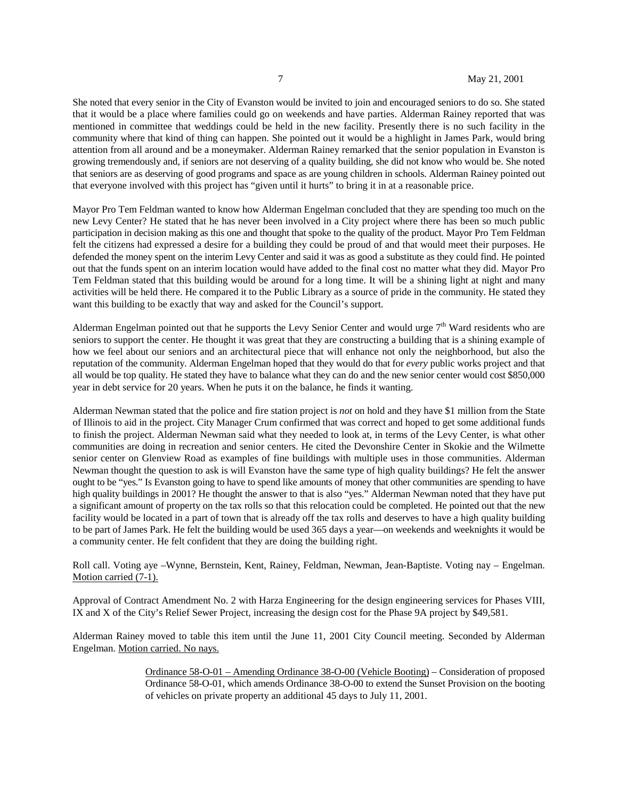She noted that every senior in the City of Evanston would be invited to join and encouraged seniors to do so. She stated that it would be a place where families could go on weekends and have parties. Alderman Rainey reported that was mentioned in committee that weddings could be held in the new facility. Presently there is no such facility in the community where that kind of thing can happen. She pointed out it would be a highlight in James Park, would bring attention from all around and be a moneymaker. Alderman Rainey remarked that the senior population in Evanston is growing tremendously and, if seniors are not deserving of a quality building, she did not know who would be. She noted that seniors are as deserving of good programs and space as are young children in schools. Alderman Rainey pointed out that everyone involved with this project has "given until it hurts" to bring it in at a reasonable price.

Mayor Pro Tem Feldman wanted to know how Alderman Engelman concluded that they are spending too much on the new Levy Center? He stated that he has never been involved in a City project where there has been so much public participation in decision making as this one and thought that spoke to the quality of the product. Mayor Pro Tem Feldman felt the citizens had expressed a desire for a building they could be proud of and that would meet their purposes. He defended the money spent on the interim Levy Center and said it was as good a substitute as they could find. He pointed out that the funds spent on an interim location would have added to the final cost no matter what they did. Mayor Pro Tem Feldman stated that this building would be around for a long time. It will be a shining light at night and many activities will be held there. He compared it to the Public Library as a source of pride in the community. He stated they want this building to be exactly that way and asked for the Council's support.

Alderman Engelman pointed out that he supports the Levy Senior Center and would urge  $7<sup>th</sup>$  Ward residents who are seniors to support the center. He thought it was great that they are constructing a building that is a shining example of how we feel about our seniors and an architectural piece that will enhance not only the neighborhood, but also the reputation of the community. Alderman Engelman hoped that they would do that for *every* public works project and that all would be top quality. He stated they have to balance what they can do and the new senior center would cost \$850,000 year in debt service for 20 years. When he puts it on the balance, he finds it wanting.

Alderman Newman stated that the police and fire station project is *not* on hold and they have \$1 million from the State of Illinois to aid in the project. City Manager Crum confirmed that was correct and hoped to get some additional funds to finish the project. Alderman Newman said what they needed to look at, in terms of the Levy Center, is what other communities are doing in recreation and senior centers. He cited the Devonshire Center in Skokie and the Wilmette senior center on Glenview Road as examples of fine buildings with multiple uses in those communities. Alderman Newman thought the question to ask is will Evanston have the same type of high quality buildings? He felt the answer ought to be "yes." Is Evanston going to have to spend like amounts of money that other communities are spending to have high quality buildings in 2001? He thought the answer to that is also "yes." Alderman Newman noted that they have put a significant amount of property on the tax rolls so that this relocation could be completed. He pointed out that the new facility would be located in a part of town that is already off the tax rolls and deserves to have a high quality building to be part of James Park. He felt the building would be used 365 days a year—on weekends and weeknights it would be a community center. He felt confident that they are doing the building right.

Roll call. Voting aye –Wynne, Bernstein, Kent, Rainey, Feldman, Newman, Jean-Baptiste. Voting nay – Engelman. Motion carried (7-1).

Approval of Contract Amendment No. 2 with Harza Engineering for the design engineering services for Phases VIII, IX and X of the City's Relief Sewer Project, increasing the design cost for the Phase 9A project by \$49,581.

Alderman Rainey moved to table this item until the June 11, 2001 City Council meeting. Seconded by Alderman Engelman. Motion carried. No nays.

> Ordinance 58-O-01 – Amending Ordinance 38-O-00 (Vehicle Booting) – Consideration of proposed Ordinance 58-O-01, which amends Ordinance 38-O-00 to extend the Sunset Provision on the booting of vehicles on private property an additional 45 days to July 11, 2001.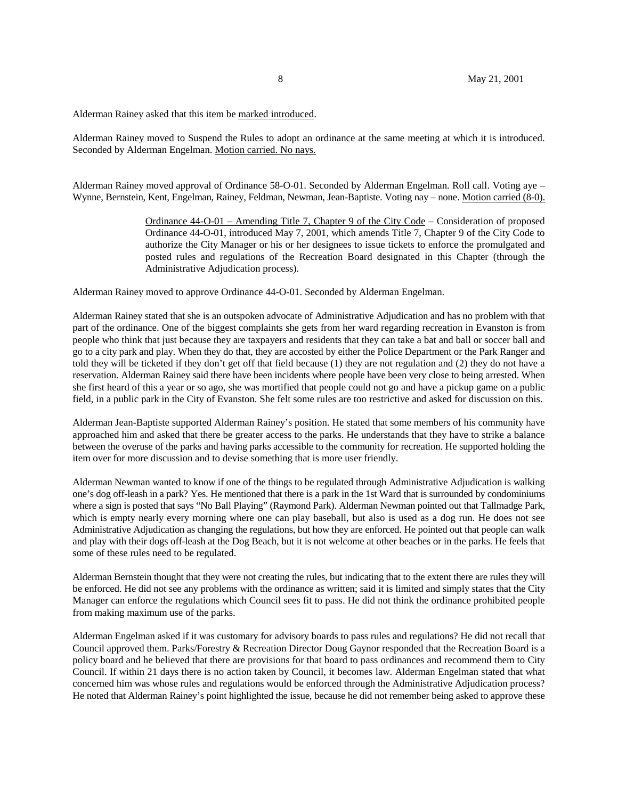Alderman Rainey asked that this item be marked introduced.

Alderman Rainey moved to Suspend the Rules to adopt an ordinance at the same meeting at which it is introduced. Seconded by Alderman Engelman. Motion carried. No nays.

Alderman Rainey moved approval of Ordinance 58-O-01. Seconded by Alderman Engelman. Roll call. Voting aye – Wynne, Bernstein, Kent, Engelman, Rainey, Feldman, Newman, Jean-Baptiste. Voting nay – none. Motion carried (8-0).

> Ordinance 44-O-01 – Amending Title 7, Chapter 9 of the City Code – Consideration of proposed Ordinance 44-O-01, introduced May 7, 2001, which amends Title 7, Chapter 9 of the City Code to authorize the City Manager or his or her designees to issue tickets to enforce the promulgated and posted rules and regulations of the Recreation Board designated in this Chapter (through the Administrative Adjudication process).

Alderman Rainey moved to approve Ordinance 44-O-01. Seconded by Alderman Engelman.

Alderman Rainey stated that she is an outspoken advocate of Administrative Adjudication and has no problem with that part of the ordinance. One of the biggest complaints she gets from her ward regarding recreation in Evanston is from people who think that just because they are taxpayers and residents that they can take a bat and ball or soccer ball and go to a city park and play. When they do that, they are accosted by either the Police Department or the Park Ranger and told they will be ticketed if they don't get off that field because (1) they are not regulation and (2) they do not have a reservation. Alderman Rainey said there have been incidents where people have been very close to being arrested. When she first heard of this a year or so ago, she was mortified that people could not go and have a pickup game on a public field, in a public park in the City of Evanston. She felt some rules are too restrictive and asked for discussion on this.

Alderman Jean-Baptiste supported Alderman Rainey's position. He stated that some members of his community have approached him and asked that there be greater access to the parks. He understands that they have to strike a balance between the overuse of the parks and having parks accessible to the community for recreation. He supported holding the item over for more discussion and to devise something that is more user friendly.

Alderman Newman wanted to know if one of the things to be regulated through Administrative Adjudication is walking one's dog off-leash in a park? Yes. He mentioned that there is a park in the 1st Ward that is surrounded by condominiums where a sign is posted that says "No Ball Playing" (Raymond Park). Alderman Newman pointed out that Tallmadge Park, which is empty nearly every morning where one can play baseball, but also is used as a dog run. He does not see Administrative Adjudication as changing the regulations, but how they are enforced. He pointed out that people can walk and play with their dogs off-leash at the Dog Beach, but it is not welcome at other beaches or in the parks. He feels that some of these rules need to be regulated.

Alderman Bernstein thought that they were not creating the rules, but indicating that to the extent there are rules they will be enforced. He did not see any problems with the ordinance as written; said it is limited and simply states that the City Manager can enforce the regulations which Council sees fit to pass. He did not think the ordinance prohibited people from making maximum use of the parks.

Alderman Engelman asked if it was customary for advisory boards to pass rules and regulations? He did not recall that Council approved them. Parks/Forestry & Recreation Director Doug Gaynor responded that the Recreation Board is a policy board and he believed that there are provisions for that board to pass ordinances and recommend them to City Council. If within 21 days there is no action taken by Council, it becomes law. Alderman Engelman stated that what concerned him was whose rules and regulations would be enforced through the Administrative Adjudication process? He noted that Alderman Rainey's point highlighted the issue, because he did not remember being asked to approve these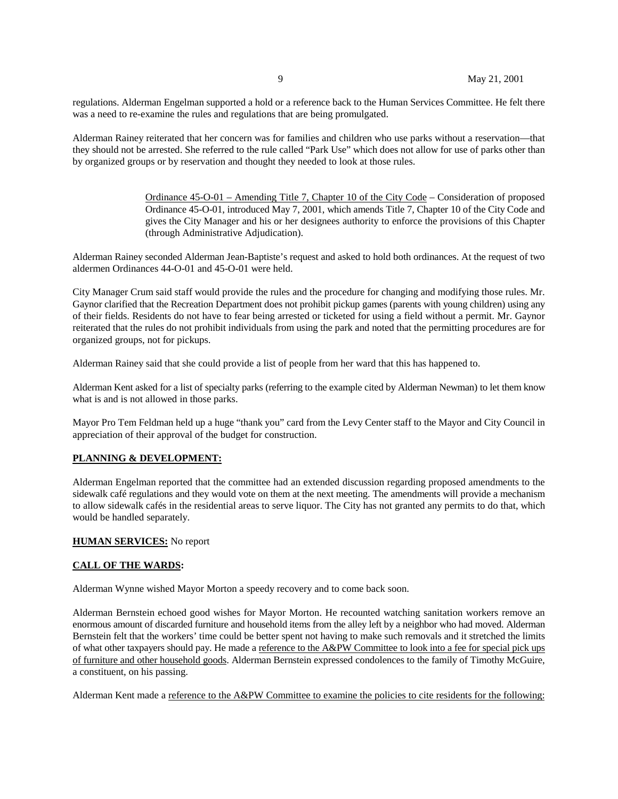regulations. Alderman Engelman supported a hold or a reference back to the Human Services Committee. He felt there was a need to re-examine the rules and regulations that are being promulgated.

Alderman Rainey reiterated that her concern was for families and children who use parks without a reservation—that they should not be arrested. She referred to the rule called "Park Use" which does not allow for use of parks other than by organized groups or by reservation and thought they needed to look at those rules.

> Ordinance 45-O-01 – Amending Title 7, Chapter 10 of the City Code – Consideration of proposed Ordinance 45-O-01, introduced May 7, 2001, which amends Title 7, Chapter 10 of the City Code and gives the City Manager and his or her designees authority to enforce the provisions of this Chapter (through Administrative Adjudication).

Alderman Rainey seconded Alderman Jean-Baptiste's request and asked to hold both ordinances. At the request of two aldermen Ordinances 44-O-01 and 45-O-01 were held.

City Manager Crum said staff would provide the rules and the procedure for changing and modifying those rules. Mr. Gaynor clarified that the Recreation Department does not prohibit pickup games (parents with young children) using any of their fields. Residents do not have to fear being arrested or ticketed for using a field without a permit. Mr. Gaynor reiterated that the rules do not prohibit individuals from using the park and noted that the permitting procedures are for organized groups, not for pickups.

Alderman Rainey said that she could provide a list of people from her ward that this has happened to.

Alderman Kent asked for a list of specialty parks (referring to the example cited by Alderman Newman) to let them know what is and is not allowed in those parks.

Mayor Pro Tem Feldman held up a huge "thank you" card from the Levy Center staff to the Mayor and City Council in appreciation of their approval of the budget for construction.

# **PLANNING & DEVELOPMENT:**

Alderman Engelman reported that the committee had an extended discussion regarding proposed amendments to the sidewalk café regulations and they would vote on them at the next meeting. The amendments will provide a mechanism to allow sidewalk cafés in the residential areas to serve liquor. The City has not granted any permits to do that, which would be handled separately.

# **HUMAN SERVICES:** No report

# **CALL OF THE WARDS:**

Alderman Wynne wished Mayor Morton a speedy recovery and to come back soon.

Alderman Bernstein echoed good wishes for Mayor Morton. He recounted watching sanitation workers remove an enormous amount of discarded furniture and household items from the alley left by a neighbor who had moved. Alderman Bernstein felt that the workers' time could be better spent not having to make such removals and it stretched the limits of what other taxpayers should pay. He made a reference to the A&PW Committee to look into a fee for special pick ups of furniture and other household goods. Alderman Bernstein expressed condolences to the family of Timothy McGuire, a constituent, on his passing.

Alderman Kent made a reference to the A&PW Committee to examine the policies to cite residents for the following: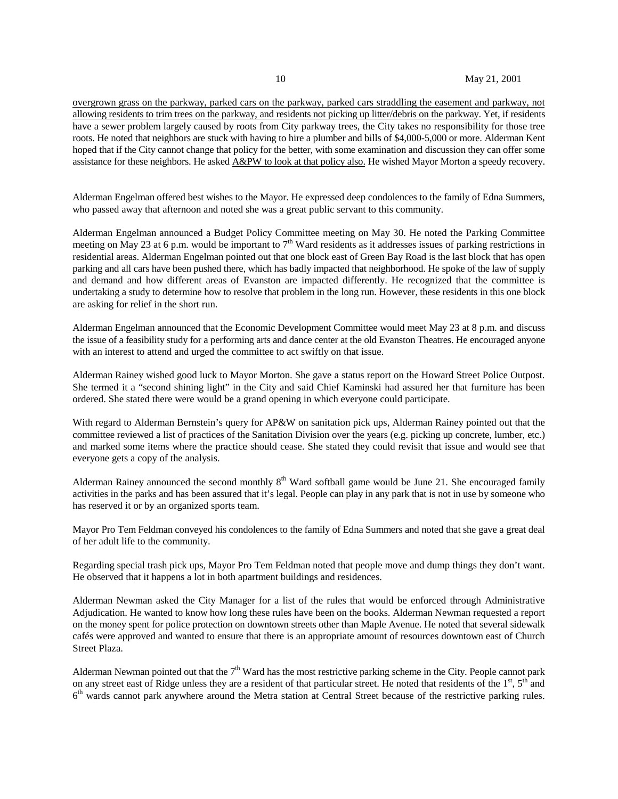overgrown grass on the parkway, parked cars on the parkway, parked cars straddling the easement and parkway, not allowing residents to trim trees on the parkway, and residents not picking up litter/debris on the parkway. Yet, if residents have a sewer problem largely caused by roots from City parkway trees, the City takes no responsibility for those tree roots. He noted that neighbors are stuck with having to hire a plumber and bills of \$4,000-5,000 or more. Alderman Kent hoped that if the City cannot change that policy for the better, with some examination and discussion they can offer some assistance for these neighbors. He asked A&PW to look at that policy also. He wished Mayor Morton a speedy recovery.

Alderman Engelman offered best wishes to the Mayor. He expressed deep condolences to the family of Edna Summers, who passed away that afternoon and noted she was a great public servant to this community.

Alderman Engelman announced a Budget Policy Committee meeting on May 30. He noted the Parking Committee meeting on May 23 at 6 p.m. would be important to  $7<sup>th</sup>$  Ward residents as it addresses issues of parking restrictions in residential areas. Alderman Engelman pointed out that one block east of Green Bay Road is the last block that has open parking and all cars have been pushed there, which has badly impacted that neighborhood. He spoke of the law of supply and demand and how different areas of Evanston are impacted differently. He recognized that the committee is undertaking a study to determine how to resolve that problem in the long run. However, these residents in this one block are asking for relief in the short run.

Alderman Engelman announced that the Economic Development Committee would meet May 23 at 8 p.m. and discuss the issue of a feasibility study for a performing arts and dance center at the old Evanston Theatres. He encouraged anyone with an interest to attend and urged the committee to act swiftly on that issue.

Alderman Rainey wished good luck to Mayor Morton. She gave a status report on the Howard Street Police Outpost. She termed it a "second shining light" in the City and said Chief Kaminski had assured her that furniture has been ordered. She stated there were would be a grand opening in which everyone could participate.

With regard to Alderman Bernstein's query for AP&W on sanitation pick ups, Alderman Rainey pointed out that the committee reviewed a list of practices of the Sanitation Division over the years (e.g. picking up concrete, lumber, etc.) and marked some items where the practice should cease. She stated they could revisit that issue and would see that everyone gets a copy of the analysis.

Alderman Rainey announced the second monthly  $8<sup>th</sup>$  Ward softball game would be June 21. She encouraged family activities in the parks and has been assured that it's legal. People can play in any park that is not in use by someone who has reserved it or by an organized sports team.

Mayor Pro Tem Feldman conveyed his condolences to the family of Edna Summers and noted that she gave a great deal of her adult life to the community.

Regarding special trash pick ups, Mayor Pro Tem Feldman noted that people move and dump things they don't want. He observed that it happens a lot in both apartment buildings and residences.

Alderman Newman asked the City Manager for a list of the rules that would be enforced through Administrative Adjudication. He wanted to know how long these rules have been on the books. Alderman Newman requested a report on the money spent for police protection on downtown streets other than Maple Avenue. He noted that several sidewalk cafés were approved and wanted to ensure that there is an appropriate amount of resources downtown east of Church Street Plaza.

Alderman Newman pointed out that the  $7<sup>th</sup>$  Ward has the most restrictive parking scheme in the City. People cannot park on any street east of Ridge unless they are a resident of that particular street. He noted that residents of the  $1<sup>st</sup>$ ,  $5<sup>th</sup>$  and  $6<sup>th</sup>$  wards cannot park anywhere around the Metra station at Central Street because of the restrictive parking rules.